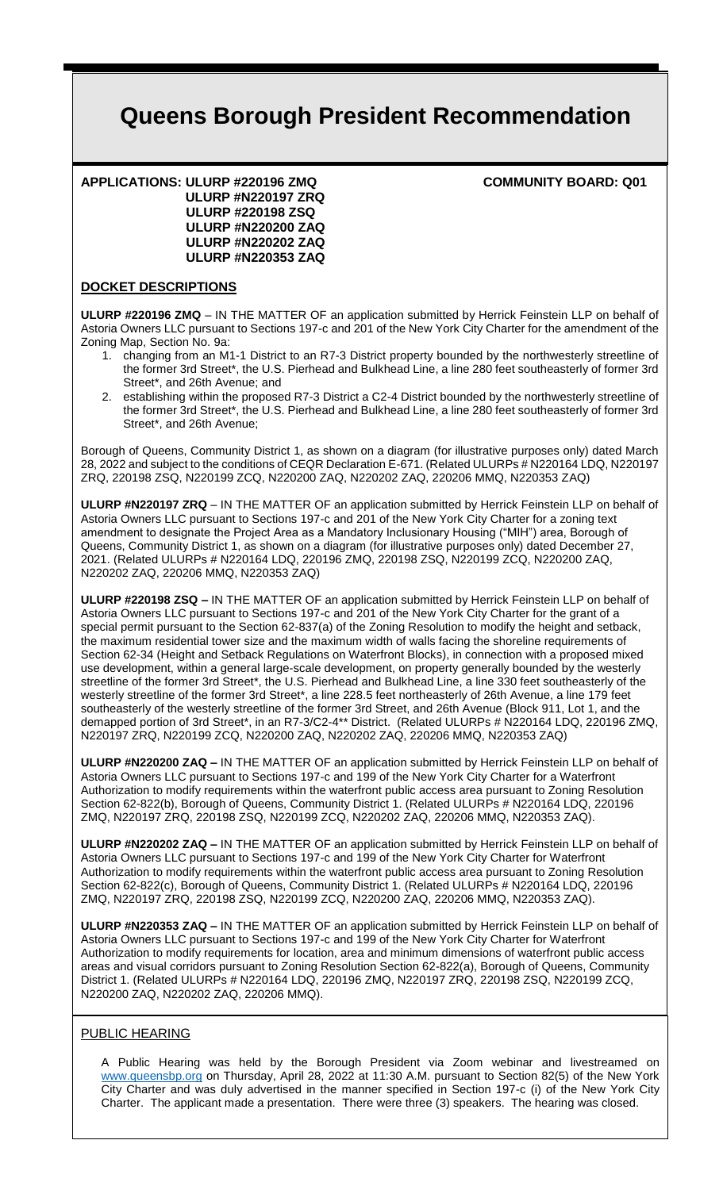# **Queens Borough President Recommendation**

#### **APPLICATIONS: ULURP #220196 ZMQ COMMUNITY BOARD: Q01 ULURP #N220197 ZRQ ULURP #220198 ZSQ ULURP #N220200 ZAQ ULURP #N220202 ZAQ ULURP #N220353 ZAQ**

#### **DOCKET DESCRIPTIONS**

**ULURP #220196 ZMQ** – IN THE MATTER OF an application submitted by Herrick Feinstein LLP on behalf of Astoria Owners LLC pursuant to Sections 197-c and 201 of the New York City Charter for the amendment of the Zoning Map, Section No. 9a:

- 1. changing from an M1-1 District to an R7-3 District property bounded by the northwesterly streetline of the former 3rd Street\*, the U.S. Pierhead and Bulkhead Line, a line 280 feet southeasterly of former 3rd Street\*, and 26th Avenue; and
- 2. establishing within the proposed R7-3 District a C2-4 District bounded by the northwesterly streetline of the former 3rd Street\*, the U.S. Pierhead and Bulkhead Line, a line 280 feet southeasterly of former 3rd Street\*, and 26th Avenue;

Borough of Queens, Community District 1, as shown on a diagram (for illustrative purposes only) dated March 28, 2022 and subject to the conditions of CEQR Declaration E-671. (Related ULURPs # N220164 LDQ, N220197 ZRQ, 220198 ZSQ, N220199 ZCQ, N220200 ZAQ, N220202 ZAQ, 220206 MMQ, N220353 ZAQ)

**ULURP #N220197 ZRQ** – IN THE MATTER OF an application submitted by Herrick Feinstein LLP on behalf of Astoria Owners LLC pursuant to Sections 197-c and 201 of the New York City Charter for a zoning text amendment to designate the Project Area as a Mandatory Inclusionary Housing ("MIH") area, Borough of Queens, Community District 1, as shown on a diagram (for illustrative purposes only) dated December 27, 2021. (Related ULURPs # N220164 LDQ, 220196 ZMQ, 220198 ZSQ, N220199 ZCQ, N220200 ZAQ, N220202 ZAQ, 220206 MMQ, N220353 ZAQ)

**ULURP #220198 ZSQ –** IN THE MATTER OF an application submitted by Herrick Feinstein LLP on behalf of Astoria Owners LLC pursuant to Sections 197-c and 201 of the New York City Charter for the grant of a special permit pursuant to the Section 62-837(a) of the Zoning Resolution to modify the height and setback, the maximum residential tower size and the maximum width of walls facing the shoreline requirements of Section 62-34 (Height and Setback Regulations on Waterfront Blocks), in connection with a proposed mixed use development, within a general large-scale development, on property generally bounded by the westerly streetline of the former 3rd Street\*, the U.S. Pierhead and Bulkhead Line, a line 330 feet southeasterly of the westerly streetline of the former 3rd Street\*, a line 228.5 feet northeasterly of 26th Avenue, a line 179 feet southeasterly of the westerly streetline of the former 3rd Street, and 26th Avenue (Block 911, Lot 1, and the demapped portion of 3rd Street\*, in an R7-3/C2-4\*\* District. (Related ULURPs # N220164 LDQ, 220196 ZMQ, N220197 ZRQ, N220199 ZCQ, N220200 ZAQ, N220202 ZAQ, 220206 MMQ, N220353 ZAQ)

**ULURP #N220200 ZAQ –** IN THE MATTER OF an application submitted by Herrick Feinstein LLP on behalf of Astoria Owners LLC pursuant to Sections 197-c and 199 of the New York City Charter for a Waterfront Authorization to modify requirements within the waterfront public access area pursuant to Zoning Resolution Section 62-822(b), Borough of Queens, Community District 1. (Related ULURPs # N220164 LDQ, 220196 ZMQ, N220197 ZRQ, 220198 ZSQ, N220199 ZCQ, N220202 ZAQ, 220206 MMQ, N220353 ZAQ).

**ULURP #N220202 ZAQ –** IN THE MATTER OF an application submitted by Herrick Feinstein LLP on behalf of Astoria Owners LLC pursuant to Sections 197-c and 199 of the New York City Charter for Waterfront Authorization to modify requirements within the waterfront public access area pursuant to Zoning Resolution Section 62-822(c), Borough of Queens, Community District 1. (Related ULURPs # N220164 LDQ, 220196 ZMQ, N220197 ZRQ, 220198 ZSQ, N220199 ZCQ, N220200 ZAQ, 220206 MMQ, N220353 ZAQ).

**ULURP #N220353 ZAQ –** IN THE MATTER OF an application submitted by Herrick Feinstein LLP on behalf of Astoria Owners LLC pursuant to Sections 197-c and 199 of the New York City Charter for Waterfront Authorization to modify requirements for location, area and minimum dimensions of waterfront public access areas and visual corridors pursuant to Zoning Resolution Section 62-822(a), Borough of Queens, Community District 1. (Related ULURPs # N220164 LDQ, 220196 ZMQ, N220197 ZRQ, 220198 ZSQ, N220199 ZCQ, N220200 ZAQ, N220202 ZAQ, 220206 MMQ).

# PUBLIC HEARING

A Public Hearing was held by the Borough President via Zoom webinar and livestreamed on www.queensbp.org on Thursday, April 28, 2022 at 11:30 A.M. pursuant to Section 82(5) of the New York City Charter and was duly advertised in the manner specified in Section 197-c (i) of the New York City Charter. The applicant made a presentation. There were three (3) speakers. The hearing was closed.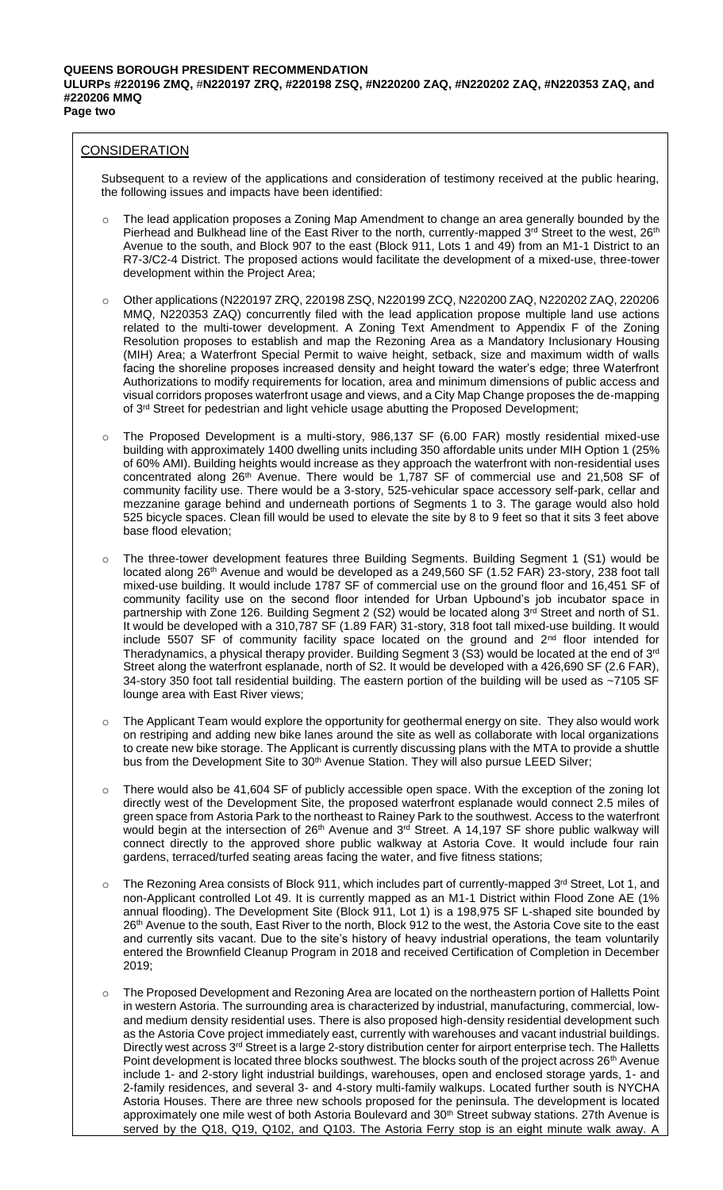# **CONSIDERATION**

Subsequent to a review of the applications and consideration of testimony received at the public hearing, the following issues and impacts have been identified:

- The lead application proposes a Zoning Map Amendment to change an area generally bounded by the Pierhead and Bulkhead line of the East River to the north, currently-mapped 3rd Street to the west, 26<sup>th</sup> Avenue to the south, and Block 907 to the east (Block 911, Lots 1 and 49) from an M1-1 District to an R7-3/C2-4 District. The proposed actions would facilitate the development of a mixed-use, three-tower development within the Project Area;
- o Other applications (N220197 ZRQ, 220198 ZSQ, N220199 ZCQ, N220200 ZAQ, N220202 ZAQ, 220206 MMQ, N220353 ZAQ) concurrently filed with the lead application propose multiple land use actions related to the multi-tower development. A Zoning Text Amendment to Appendix F of the Zoning Resolution proposes to establish and map the Rezoning Area as a Mandatory Inclusionary Housing (MIH) Area; a Waterfront Special Permit to waive height, setback, size and maximum width of walls facing the shoreline proposes increased density and height toward the water's edge; three Waterfront Authorizations to modify requirements for location, area and minimum dimensions of public access and visual corridors proposes waterfront usage and views, and a City Map Change proposes the de-mapping of 3<sup>rd</sup> Street for pedestrian and light vehicle usage abutting the Proposed Development;
- o The Proposed Development is a multi-story, 986,137 SF (6.00 FAR) mostly residential mixed-use building with approximately 1400 dwelling units including 350 affordable units under MIH Option 1 (25% of 60% AMI). Building heights would increase as they approach the waterfront with non-residential uses concentrated along 26th Avenue. There would be 1,787 SF of commercial use and 21,508 SF of community facility use. There would be a 3-story, 525-vehicular space accessory self-park, cellar and mezzanine garage behind and underneath portions of Segments 1 to 3. The garage would also hold 525 bicycle spaces. Clean fill would be used to elevate the site by 8 to 9 feet so that it sits 3 feet above base flood elevation;
- The three-tower development features three Building Segments. Building Segment 1 (S1) would be located along 26<sup>th</sup> Avenue and would be developed as a 249,560 SF (1.52 FAR) 23-story, 238 foot tall mixed-use building. It would include 1787 SF of commercial use on the ground floor and 16,451 SF of community facility use on the second floor intended for Urban Upbound's job incubator space in partnership with Zone 126. Building Segment 2 (S2) would be located along 3<sup>rd</sup> Street and north of S1. It would be developed with a 310,787 SF (1.89 FAR) 31-story, 318 foot tall mixed-use building. It would include 5507 SF of community facility space located on the ground and 2<sup>nd</sup> floor intended for Theradynamics, a physical therapy provider. Building Segment 3 (S3) would be located at the end of 3rd Street along the waterfront esplanade, north of S2. It would be developed with a 426,690 SF (2.6 FAR), 34-story 350 foot tall residential building. The eastern portion of the building will be used as ~7105 SF lounge area with East River views;
- o The Applicant Team would explore the opportunity for geothermal energy on site. They also would work on restriping and adding new bike lanes around the site as well as collaborate with local organizations to create new bike storage. The Applicant is currently discussing plans with the MTA to provide a shuttle bus from the Development Site to 30<sup>th</sup> Avenue Station. They will also pursue LEED Silver;
- o There would also be 41,604 SF of publicly accessible open space. With the exception of the zoning lot directly west of the Development Site, the proposed waterfront esplanade would connect 2.5 miles of green space from Astoria Park to the northeast to Rainey Park to the southwest. Access to the waterfront would begin at the intersection of 26<sup>th</sup> Avenue and 3<sup>rd</sup> Street. A 14,197 SF shore public walkway will connect directly to the approved shore public walkway at Astoria Cove. It would include four rain gardens, terraced/turfed seating areas facing the water, and five fitness stations;
- $\circ$  The Rezoning Area consists of Block 911, which includes part of currently-mapped 3<sup>rd</sup> Street, Lot 1, and non-Applicant controlled Lot 49. It is currently mapped as an M1-1 District within Flood Zone AE (1% annual flooding). The Development Site (Block 911, Lot 1) is a 198,975 SF L-shaped site bounded by 26<sup>th</sup> Avenue to the south, East River to the north, Block 912 to the west, the Astoria Cove site to the east and currently sits vacant. Due to the site's history of heavy industrial operations, the team voluntarily entered the Brownfield Cleanup Program in 2018 and received Certification of Completion in December 2019;
- o The Proposed Development and Rezoning Area are located on the northeastern portion of Halletts Point in western Astoria. The surrounding area is characterized by industrial, manufacturing, commercial, lowand medium density residential uses. There is also proposed high-density residential development such as the Astoria Cove project immediately east, currently with warehouses and vacant industrial buildings. Directly west across 3<sup>rd</sup> Street is a large 2-story distribution center for airport enterprise tech. The Halletts Point development is located three blocks southwest. The blocks south of the project across 26<sup>th</sup> Avenue include 1- and 2-story light industrial buildings, warehouses, open and enclosed storage yards, 1- and 2-family residences, and several 3- and 4-story multi-family walkups. Located further south is NYCHA Astoria Houses. There are three new schools proposed for the peninsula. The development is located approximately one mile west of both Astoria Boulevard and 30<sup>th</sup> Street subway stations. 27th Avenue is served by the Q18, Q19, Q102, and Q103. The Astoria Ferry stop is an eight minute walk away. A